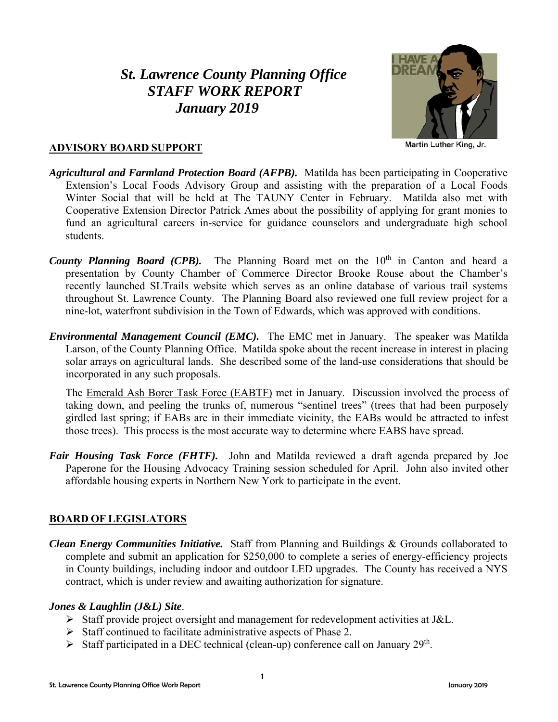# *St. Lawrence County Planning Office STAFF WORK REPORT January 2019*



#### **ADVISORY BOARD SUPPORT**

- *Agricultural and Farmland Protection Board (AFPB).* Matilda has been participating in Cooperative Extension's Local Foods Advisory Group and assisting with the preparation of a Local Foods Winter Social that will be held at The TAUNY Center in February. Matilda also met with Cooperative Extension Director Patrick Ames about the possibility of applying for grant monies to fund an agricultural careers in-service for guidance counselors and undergraduate high school students.
- *County Planning Board (CPB)*. The Planning Board met on the 10<sup>th</sup> in Canton and heard a presentation by County Chamber of Commerce Director Brooke Rouse about the Chamber's recently launched SLTrails website which serves as an online database of various trail systems throughout St. Lawrence County. The Planning Board also reviewed one full review project for a nine-lot, waterfront subdivision in the Town of Edwards, which was approved with conditions.
- *Environmental Management Council (EMC).* The EMC met in January. The speaker was Matilda Larson, of the County Planning Office. Matilda spoke about the recent increase in interest in placing solar arrays on agricultural lands. She described some of the land-use considerations that should be incorporated in any such proposals.

The Emerald Ash Borer Task Force (EABTF) met in January. Discussion involved the process of taking down, and peeling the trunks of, numerous "sentinel trees" (trees that had been purposely girdled last spring; if EABs are in their immediate vicinity, the EABs would be attracted to infest those trees). This process is the most accurate way to determine where EABS have spread.

*Fair Housing Task Force (FHTF).* John and Matilda reviewed a draft agenda prepared by Joe Paperone for the Housing Advocacy Training session scheduled for April. John also invited other affordable housing experts in Northern New York to participate in the event.

## **BOARD OF LEGISLATORS**

*Clean Energy Communities Initiative.* Staff from Planning and Buildings & Grounds collaborated to complete and submit an application for \$250,000 to complete a series of energy-efficiency projects in County buildings, including indoor and outdoor LED upgrades. The County has received a NYS contract, which is under review and awaiting authorization for signature.

## *Jones & Laughlin (J&L) Site*.

- $\triangleright$  Staff provide project oversight and management for redevelopment activities at J&L.
- $\triangleright$  Staff continued to facilitate administrative aspects of Phase 2.
- Staff participated in a DEC technical (clean-up) conference call on January  $29<sup>th</sup>$ .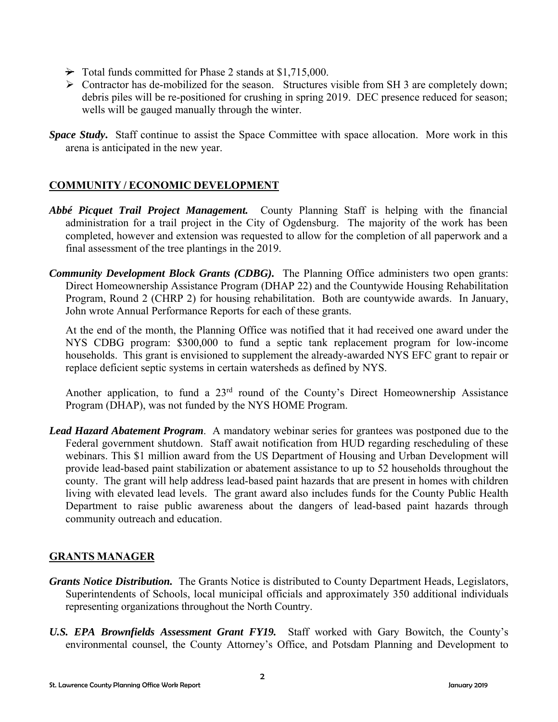- $\rightarrow$  Total funds committed for Phase 2 stands at \$1,715,000.
- $\triangleright$  Contractor has de-mobilized for the season. Structures visible from SH 3 are completely down; debris piles will be re-positioned for crushing in spring 2019. DEC presence reduced for season; wells will be gauged manually through the winter.
- *Space Study***.** Staff continue to assist the Space Committee with space allocation. More work in this arena is anticipated in the new year.

## **COMMUNITY / ECONOMIC DEVELOPMENT**

- *Abbé Picquet Trail Project Management.* County Planning Staff is helping with the financial administration for a trail project in the City of Ogdensburg. The majority of the work has been completed, however and extension was requested to allow for the completion of all paperwork and a final assessment of the tree plantings in the 2019.
- *Community Development Block Grants (CDBG).* The Planning Office administers two open grants: Direct Homeownership Assistance Program (DHAP 22) and the Countywide Housing Rehabilitation Program, Round 2 (CHRP 2) for housing rehabilitation. Both are countywide awards. In January, John wrote Annual Performance Reports for each of these grants.

At the end of the month, the Planning Office was notified that it had received one award under the NYS CDBG program: \$300,000 to fund a septic tank replacement program for low-income households. This grant is envisioned to supplement the already-awarded NYS EFC grant to repair or replace deficient septic systems in certain watersheds as defined by NYS.

Another application, to fund a  $23<sup>rd</sup>$  round of the County's Direct Homeownership Assistance Program (DHAP), was not funded by the NYS HOME Program.

*Lead Hazard Abatement Program*. A mandatory webinar series for grantees was postponed due to the Federal government shutdown. Staff await notification from HUD regarding rescheduling of these webinars. This \$1 million award from the US Department of Housing and Urban Development will provide lead-based paint stabilization or abatement assistance to up to 52 households throughout the county. The grant will help address lead-based paint hazards that are present in homes with children living with elevated lead levels. The grant award also includes funds for the County Public Health Department to raise public awareness about the dangers of lead-based paint hazards through community outreach and education.

## **GRANTS MANAGER**

- *Grants Notice Distribution.* The Grants Notice is distributed to County Department Heads, Legislators, Superintendents of Schools, local municipal officials and approximately 350 additional individuals representing organizations throughout the North Country.
- *U.S. EPA Brownfields Assessment Grant FY19.* Staff worked with Gary Bowitch, the County's environmental counsel, the County Attorney's Office, and Potsdam Planning and Development to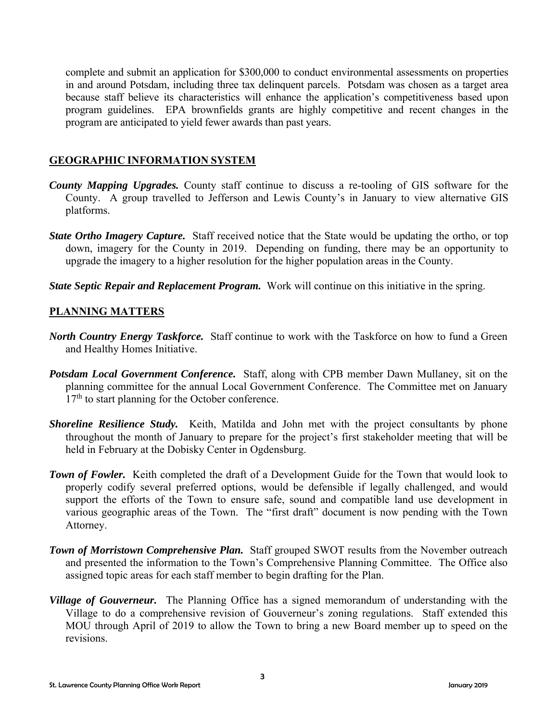complete and submit an application for \$300,000 to conduct environmental assessments on properties in and around Potsdam, including three tax delinquent parcels. Potsdam was chosen as a target area because staff believe its characteristics will enhance the application's competitiveness based upon program guidelines. EPA brownfields grants are highly competitive and recent changes in the program are anticipated to yield fewer awards than past years.

## **GEOGRAPHIC INFORMATION SYSTEM**

- *County Mapping Upgrades.* County staff continue to discuss a re-tooling of GIS software for the County. A group travelled to Jefferson and Lewis County's in January to view alternative GIS platforms.
- *State Ortho Imagery Capture.* Staff received notice that the State would be updating the ortho, or top down, imagery for the County in 2019. Depending on funding, there may be an opportunity to upgrade the imagery to a higher resolution for the higher population areas in the County.
- *State Septic Repair and Replacement Program.* Work will continue on this initiative in the spring.

## **PLANNING MATTERS**

- *North Country Energy Taskforce.* Staff continue to work with the Taskforce on how to fund a Green and Healthy Homes Initiative.
- *Potsdam Local Government Conference.* Staff, along with CPB member Dawn Mullaney, sit on the planning committee for the annual Local Government Conference. The Committee met on January  $17<sup>th</sup>$  to start planning for the October conference.
- *Shoreline Resilience Study.* Keith, Matilda and John met with the project consultants by phone throughout the month of January to prepare for the project's first stakeholder meeting that will be held in February at the Dobisky Center in Ogdensburg.
- **Town of Fowler.** Keith completed the draft of a Development Guide for the Town that would look to properly codify several preferred options, would be defensible if legally challenged, and would support the efforts of the Town to ensure safe, sound and compatible land use development in various geographic areas of the Town. The "first draft" document is now pending with the Town Attorney.
- **Town of Morristown Comprehensive Plan.** Staff grouped SWOT results from the November outreach and presented the information to the Town's Comprehensive Planning Committee. The Office also assigned topic areas for each staff member to begin drafting for the Plan.
- *Village of Gouverneur.* The Planning Office has a signed memorandum of understanding with the Village to do a comprehensive revision of Gouverneur's zoning regulations. Staff extended this MOU through April of 2019 to allow the Town to bring a new Board member up to speed on the revisions.